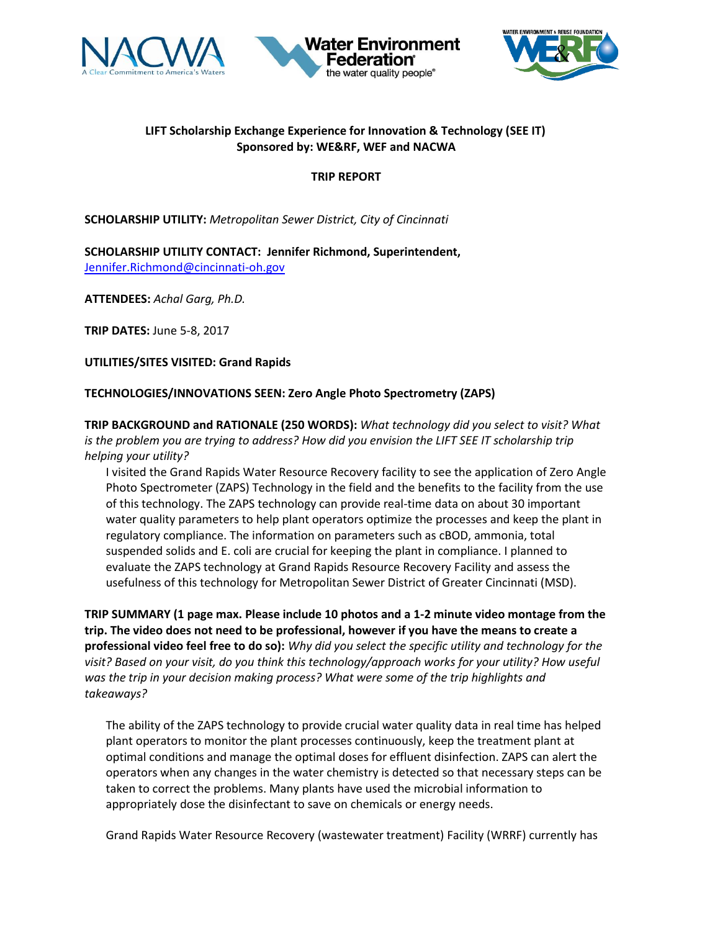





## **LIFT Scholarship Exchange Experience for Innovation & Technology (SEE IT) Sponsored by: WE&RF, WEF and NACWA**

## **TRIP REPORT**

**SCHOLARSHIP UTILITY:** *Metropolitan Sewer District, City of Cincinnati*

**SCHOLARSHIP UTILITY CONTACT: Jennifer Richmond, Superintendent,**  [Jennifer.Richmond@cincinnati-oh.gov](mailto:Jennifer.Richmond@cincinnati-oh.gov)

**ATTENDEES:** *Achal Garg, Ph.D.*

**TRIP DATES:** June 5-8, 2017

**UTILITIES/SITES VISITED: Grand Rapids**

## **TECHNOLOGIES/INNOVATIONS SEEN: Zero Angle Photo Spectrometry (ZAPS)**

**TRIP BACKGROUND and RATIONALE (250 WORDS):** *What technology did you select to visit? What is the problem you are trying to address? How did you envision the LIFT SEE IT scholarship trip helping your utility?* 

I visited the Grand Rapids Water Resource Recovery facility to see the application of Zero Angle Photo Spectrometer (ZAPS) Technology in the field and the benefits to the facility from the use of this technology. The ZAPS technology can provide real-time data on about 30 important water quality parameters to help plant operators optimize the processes and keep the plant in regulatory compliance. The information on parameters such as cBOD, ammonia, total suspended solids and E. coli are crucial for keeping the plant in compliance. I planned to evaluate the ZAPS technology at Grand Rapids Resource Recovery Facility and assess the usefulness of this technology for Metropolitan Sewer District of Greater Cincinnati (MSD).

**TRIP SUMMARY (1 page max. Please include 10 photos and a 1-2 minute video montage from the trip. The video does not need to be professional, however if you have the means to create a professional video feel free to do so):** *Why did you select the specific utility and technology for the visit? Based on your visit, do you think this technology/approach works for your utility? How useful was the trip in your decision making process? What were some of the trip highlights and takeaways?* 

The ability of the ZAPS technology to provide crucial water quality data in real time has helped plant operators to monitor the plant processes continuously, keep the treatment plant at optimal conditions and manage the optimal doses for effluent disinfection. ZAPS can alert the operators when any changes in the water chemistry is detected so that necessary steps can be taken to correct the problems. Many plants have used the microbial information to appropriately dose the disinfectant to save on chemicals or energy needs.

Grand Rapids Water Resource Recovery (wastewater treatment) Facility (WRRF) currently has